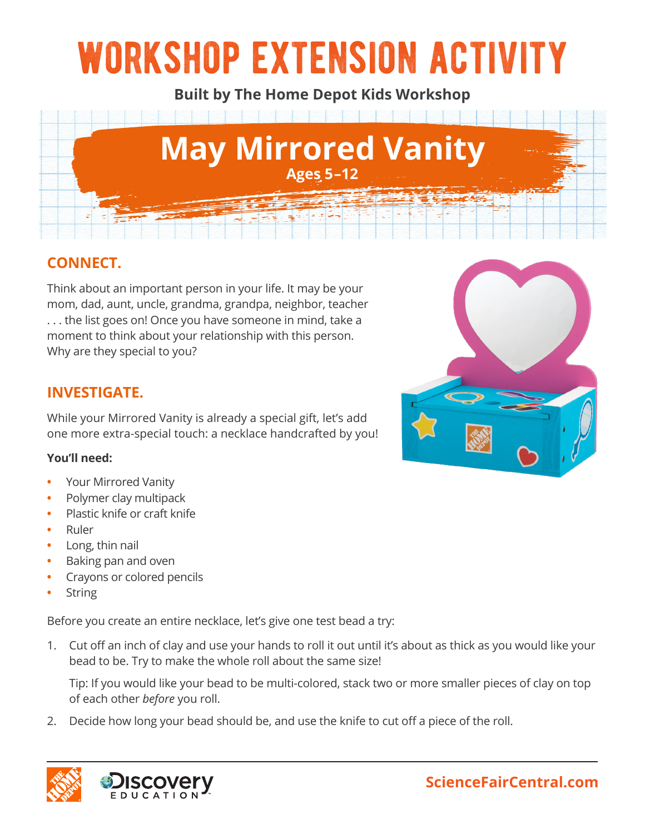# workshop extension activity

**Built by The Home Depot Kids Workshop**



# **CONNECT.**

Think about an important person in your life. It may be your mom, dad, aunt, uncle, grandma, grandpa, neighbor, teacher . . . the list goes on! Once you have someone in mind, take a moment to think about your relationship with this person. Why are they special to you?

## **INVESTIGATE.**

While your Mirrored Vanity is already a special gift, let's add one more extra-special touch: a necklace handcrafted by you!

#### **You'll need:**

- **•** Your Mirrored Vanity
- **•** Polymer clay multipack
- **•** Plastic knife or craft knife
- **•** Ruler
- **•** Long, thin nail
- **•** Baking pan and oven
- **•** Crayons or colored pencils
- **•** String

Before you create an entire necklace, let's give one test bead a try:

1. Cut off an inch of clay and use your hands to roll it out until it's about as thick as you would like your bead to be. Try to make the whole roll about the same size!

Tip: If you would like your bead to be multi-colored, stack two or more smaller pieces of clay on top of each other *before* you roll.

2. Decide how long your bead should be, and use the knife to cut off a piece of the roll.